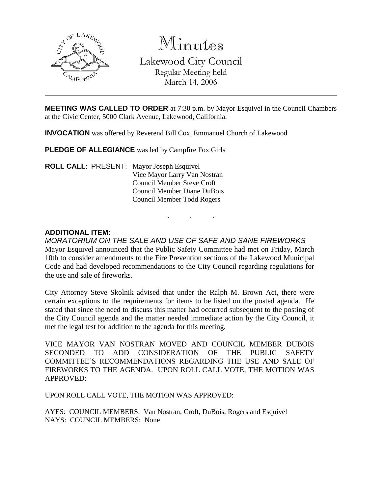

Minutes Lakewood City Council Regular Meeting held March 14, 2006

**MEETING WAS CALLED TO ORDER** at 7:30 p.m. by Mayor Esquivel in the Council Chambers at the Civic Center, 5000 Clark Avenue, Lakewood, California.

**INVOCATION** was offered by Reverend Bill Cox, Emmanuel Church of Lakewood

**PLEDGE OF ALLEGIANCE** was led by Campfire Fox Girls

**ROLL CALL**: PRESENT: Mayor Joseph Esquivel Vice Mayor Larry Van Nostran Council Member Steve Croft Council Member Diane DuBois Council Member Todd Rogers

#### **ADDITIONAL ITEM:**

*MORATORIUM ON THE SALE AND USE OF SAFE AND SANE FIREWORKS* Mayor Esquivel announced that the Public Safety Committee had met on Friday, March 10th to consider amendments to the Fire Prevention sections of the Lakewood Municipal Code and had developed recommendations to the City Council regarding regulations for the use and sale of fireworks.

. . .

City Attorney Steve Skolnik advised that under the Ralph M. Brown Act, there were certain exceptions to the requirements for items to be listed on the posted agenda. He stated that since the need to discuss this matter had occurred subsequent to the posting of the City Council agenda and the matter needed immediate action by the City Council, it met the legal test for addition to the agenda for this meeting.

VICE MAYOR VAN NOSTRAN MOVED AND COUNCIL MEMBER DUBOIS SECONDED TO ADD CONSIDERATION OF THE PUBLIC SAFETY COMMITTEE'S RECOMMENDATIONS REGARDING THE USE AND SALE OF FIREWORKS TO THE AGENDA. UPON ROLL CALL VOTE, THE MOTION WAS APPROVED:

UPON ROLL CALL VOTE, THE MOTION WAS APPROVED:

AYES: COUNCIL MEMBERS: Van Nostran, Croft, DuBois, Rogers and Esquivel NAYS: COUNCIL MEMBERS: None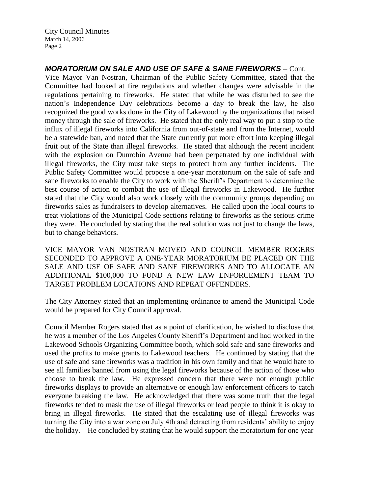# *MORATORIUM ON SALE AND USE OF SAFE & SANE FIREWORKS –* Cont.

Vice Mayor Van Nostran, Chairman of the Public Safety Committee, stated that the Committee had looked at fire regulations and whether changes were advisable in the regulations pertaining to fireworks. He stated that while he was disturbed to see the nation's Independence Day celebrations become a day to break the law, he also recognized the good works done in the City of Lakewood by the organizations that raised money through the sale of fireworks. He stated that the only real way to put a stop to the influx of illegal fireworks into California from out-of-state and from the Internet, would be a statewide ban, and noted that the State currently put more effort into keeping illegal fruit out of the State than illegal fireworks. He stated that although the recent incident with the explosion on Dunrobin Avenue had been perpetrated by one individual with illegal fireworks, the City must take steps to protect from any further incidents. The Public Safety Committee would propose a one-year moratorium on the sale of safe and sane fireworks to enable the City to work with the Sheriff's Department to determine the best course of action to combat the use of illegal fireworks in Lakewood. He further stated that the City would also work closely with the community groups depending on fireworks sales as fundraisers to develop alternatives. He called upon the local courts to treat violations of the Municipal Code sections relating to fireworks as the serious crime they were. He concluded by stating that the real solution was not just to change the laws, but to change behaviors.

VICE MAYOR VAN NOSTRAN MOVED AND COUNCIL MEMBER ROGERS SECONDED TO APPROVE A ONE-YEAR MORATORIUM BE PLACED ON THE SALE AND USE OF SAFE AND SANE FIREWORKS AND TO ALLOCATE AN ADDITIONAL \$100,000 TO FUND A NEW LAW ENFORCEMENT TEAM TO TARGET PROBLEM LOCATIONS AND REPEAT OFFENDERS.

The City Attorney stated that an implementing ordinance to amend the Municipal Code would be prepared for City Council approval.

Council Member Rogers stated that as a point of clarification, he wished to disclose that he was a member of the Los Angeles County Sheriff's Department and had worked in the Lakewood Schools Organizing Committee booth, which sold safe and sane fireworks and used the profits to make grants to Lakewood teachers. He continued by stating that the use of safe and sane fireworks was a tradition in his own family and that he would hate to see all families banned from using the legal fireworks because of the action of those who choose to break the law. He expressed concern that there were not enough public fireworks displays to provide an alternative or enough law enforcement officers to catch everyone breaking the law. He acknowledged that there was some truth that the legal fireworks tended to mask the use of illegal fireworks or lead people to think it is okay to bring in illegal fireworks. He stated that the escalating use of illegal fireworks was turning the City into a war zone on July 4th and detracting from residents' ability to enjoy the holiday. He concluded by stating that he would support the moratorium for one year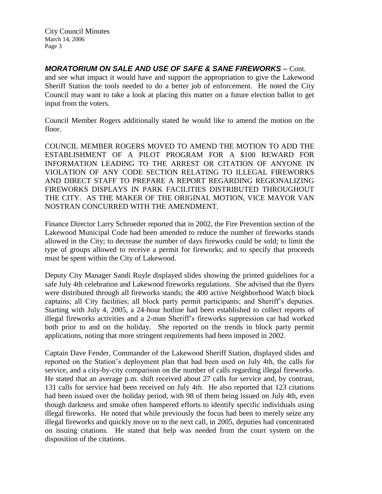*MORATORIUM ON SALE AND USE OF SAFE & SANE FIREWORKS –* Cont. and see what impact it would have and support the appropriation to give the Lakewood Sheriff Station the tools needed to do a better job of enforcement. He noted the City Council may want to take a look at placing this matter on a future election ballot to get input from the voters.

Council Member Rogers additionally stated he would like to amend the motion on the floor.

COUNCIL MEMBER ROGERS MOVED TO AMEND THE MOTION TO ADD THE ESTABLISHMENT OF A PILOT PROGRAM FOR A \$100 REWARD FOR INFORMATION LEADING TO THE ARREST OR CITATION OF ANYONE IN VIOLATION OF ANY CODE SECTION RELATING TO ILLEGAL FIREWORKS AND DIRECT STAFF TO PREPARE A REPORT REGARDING REGIONALIZING FIREWORKS DISPLAYS IN PARK FACILITIES DISTRIBUTED THROUGHOUT THE CITY. AS THE MAKER OF THE ORIGINAL MOTION, VICE MAYOR VAN NOSTRAN CONCURRED WITH THE AMENDMENT.

Finance Director Larry Schroeder reported that in 2002, the Fire Prevention section of the Lakewood Municipal Code had been amended to reduce the number of fireworks stands allowed in the City; to decrease the number of days fireworks could be sold; to limit the type of groups allowed to receive a permit for fireworks; and to specify that proceeds must be spent within the City of Lakewood.

Deputy City Manager Sandi Ruyle displayed slides showing the printed guidelines for a safe July 4th celebration and Lakewood fireworks regulations. She advised that the flyers were distributed through all fireworks stands; the 400 active Neighborhood Watch block captains; all City facilities; all block party permit participants; and Sheriff's deputies. Starting with July 4, 2005, a 24-hour hotline had been established to collect reports of illegal fireworks activities and a 2-man Sheriff's fireworks suppression car had worked both prior to and on the holiday. She reported on the trends in block party permit applications, noting that more stringent requirements had been imposed in 2002.

Captain Dave Fender, Commander of the Lakewood Sheriff Station, displayed slides and reported on the Station's deployment plan that had been used on July 4th, the calls for service, and a city-by-city comparison on the number of calls regarding illegal fireworks. He stated that an average p.m. shift received about 27 calls for service and, by contrast, 131 calls for service had been received on July 4th. He also reported that 123 citations had been issued over the holiday period, with 98 of them being issued on July 4th, even though darkness and smoke often hampered efforts to identify specific individuals using illegal fireworks. He noted that while previously the focus had been to merely seize any illegal fireworks and quickly move on to the next call, in 2005, deputies had concentrated on issuing citations. He stated that help was needed from the court system on the disposition of the citations.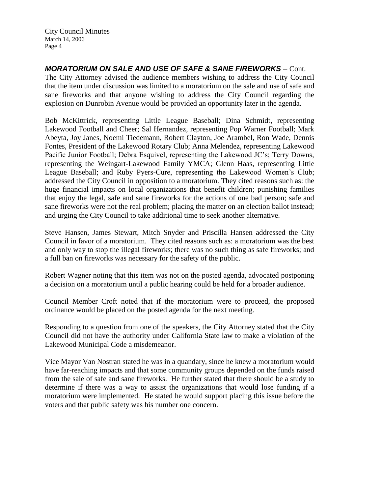*MORATORIUM ON SALE AND USE OF SAFE & SANE FIREWORKS –* Cont. The City Attorney advised the audience members wishing to address the City Council that the item under discussion was limited to a moratorium on the sale and use of safe and sane fireworks and that anyone wishing to address the City Council regarding the explosion on Dunrobin Avenue would be provided an opportunity later in the agenda.

Bob McKittrick, representing Little League Baseball; Dina Schmidt, representing Lakewood Football and Cheer; Sal Hernandez, representing Pop Warner Football; Mark Abeyta, Joy Janes, Noemi Tiedemann, Robert Clayton, Joe Arambel, Ron Wade, Dennis Fontes, President of the Lakewood Rotary Club; Anna Melendez, representing Lakewood Pacific Junior Football; Debra Esquivel, representing the Lakewood JC's; Terry Downs, representing the Weingart-Lakewood Family YMCA; Glenn Haas, representing Little League Baseball; and Ruby Pyers-Cure, representing the Lakewood Women's Club; addressed the City Council in opposition to a moratorium. They cited reasons such as: the huge financial impacts on local organizations that benefit children; punishing families that enjoy the legal, safe and sane fireworks for the actions of one bad person; safe and sane fireworks were not the real problem; placing the matter on an election ballot instead; and urging the City Council to take additional time to seek another alternative.

Steve Hansen, James Stewart, Mitch Snyder and Priscilla Hansen addressed the City Council in favor of a moratorium. They cited reasons such as: a moratorium was the best and only way to stop the illegal fireworks; there was no such thing as safe fireworks; and a full ban on fireworks was necessary for the safety of the public.

Robert Wagner noting that this item was not on the posted agenda, advocated postponing a decision on a moratorium until a public hearing could be held for a broader audience.

Council Member Croft noted that if the moratorium were to proceed, the proposed ordinance would be placed on the posted agenda for the next meeting.

Responding to a question from one of the speakers, the City Attorney stated that the City Council did not have the authority under California State law to make a violation of the Lakewood Municipal Code a misdemeanor.

Vice Mayor Van Nostran stated he was in a quandary, since he knew a moratorium would have far-reaching impacts and that some community groups depended on the funds raised from the sale of safe and sane fireworks. He further stated that there should be a study to determine if there was a way to assist the organizations that would lose funding if a moratorium were implemented. He stated he would support placing this issue before the voters and that public safety was his number one concern.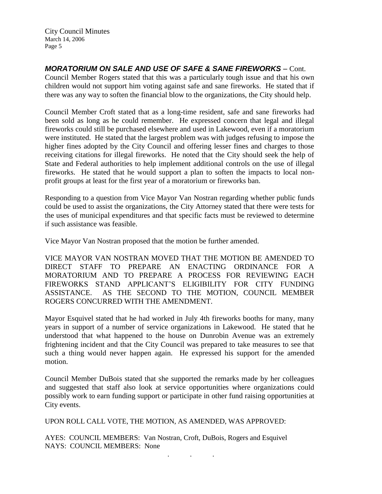*MORATORIUM ON SALE AND USE OF SAFE & SANE FIREWORKS –* Cont.

Council Member Rogers stated that this was a particularly tough issue and that his own children would not support him voting against safe and sane fireworks. He stated that if there was any way to soften the financial blow to the organizations, the City should help.

Council Member Croft stated that as a long-time resident, safe and sane fireworks had been sold as long as he could remember. He expressed concern that legal and illegal fireworks could still be purchased elsewhere and used in Lakewood, even if a moratorium were instituted. He stated that the largest problem was with judges refusing to impose the higher fines adopted by the City Council and offering lesser fines and charges to those receiving citations for illegal fireworks. He noted that the City should seek the help of State and Federal authorities to help implement additional controls on the use of illegal fireworks. He stated that he would support a plan to soften the impacts to local nonprofit groups at least for the first year of a moratorium or fireworks ban.

Responding to a question from Vice Mayor Van Nostran regarding whether public funds could be used to assist the organizations, the City Attorney stated that there were tests for the uses of municipal expenditures and that specific facts must be reviewed to determine if such assistance was feasible.

Vice Mayor Van Nostran proposed that the motion be further amended.

VICE MAYOR VAN NOSTRAN MOVED THAT THE MOTION BE AMENDED TO DIRECT STAFF TO PREPARE AN ENACTING ORDINANCE FOR A MORATORIUM AND TO PREPARE A PROCESS FOR REVIEWING EACH FIREWORKS STAND APPLICANT'S ELIGIBILITY FOR CITY FUNDING ASSISTANCE. AS THE SECOND TO THE MOTION, COUNCIL MEMBER ROGERS CONCURRED WITH THE AMENDMENT.

Mayor Esquivel stated that he had worked in July 4th fireworks booths for many, many years in support of a number of service organizations in Lakewood. He stated that he understood that what happened to the house on Dunrobin Avenue was an extremely frightening incident and that the City Council was prepared to take measures to see that such a thing would never happen again. He expressed his support for the amended motion.

Council Member DuBois stated that she supported the remarks made by her colleagues and suggested that staff also look at service opportunities where organizations could possibly work to earn funding support or participate in other fund raising opportunities at City events.

. . .

UPON ROLL CALL VOTE, THE MOTION, AS AMENDED, WAS APPROVED:

AYES: COUNCIL MEMBERS: Van Nostran, Croft, DuBois, Rogers and Esquivel NAYS: COUNCIL MEMBERS: None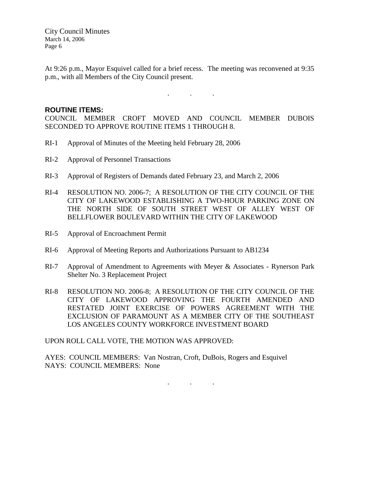At 9:26 p.m., Mayor Esquivel called for a brief recess. The meeting was reconvened at 9:35 p.m., with all Members of the City Council present.

 $\mathbf{r}$  .  $\mathbf{r}$  ,  $\mathbf{r}$  ,  $\mathbf{r}$  ,  $\mathbf{r}$  ,  $\mathbf{r}$  ,  $\mathbf{r}$ 

#### **ROUTINE ITEMS:**

COUNCIL MEMBER CROFT MOVED AND COUNCIL MEMBER DUBOIS SECONDED TO APPROVE ROUTINE ITEMS 1 THROUGH 8.

- RI-1 Approval of Minutes of the Meeting held February 28, 2006
- RI-2 Approval of Personnel Transactions
- RI-3 Approval of Registers of Demands dated February 23, and March 2, 2006
- RI-4 RESOLUTION NO. 2006-7; A RESOLUTION OF THE CITY COUNCIL OF THE CITY OF LAKEWOOD ESTABLISHING A TWO-HOUR PARKING ZONE ON THE NORTH SIDE OF SOUTH STREET WEST OF ALLEY WEST OF BELLFLOWER BOULEVARD WITHIN THE CITY OF LAKEWOOD
- RI-5 Approval of Encroachment Permit
- RI-6 Approval of Meeting Reports and Authorizations Pursuant to AB1234
- RI-7 Approval of Amendment to Agreements with Meyer & Associates Rynerson Park Shelter No. 3 Replacement Project
- RI-8 RESOLUTION NO. 2006-8; A RESOLUTION OF THE CITY COUNCIL OF THE CITY OF LAKEWOOD APPROVING THE FOURTH AMENDED AND RESTATED JOINT EXERCISE OF POWERS AGREEMENT WITH THE EXCLUSION OF PARAMOUNT AS A MEMBER CITY OF THE SOUTHEAST LOS ANGELES COUNTY WORKFORCE INVESTMENT BOARD

UPON ROLL CALL VOTE, THE MOTION WAS APPROVED:

AYES: COUNCIL MEMBERS: Van Nostran, Croft, DuBois, Rogers and Esquivel NAYS: COUNCIL MEMBERS: None

. . .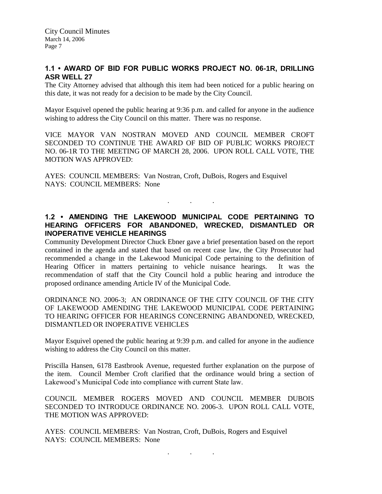## **1.1 • AWARD OF BID FOR PUBLIC WORKS PROJECT NO. 06-1R, DRILLING ASR WELL 27**

The City Attorney advised that although this item had been noticed for a public hearing on this date, it was not ready for a decision to be made by the City Council.

Mayor Esquivel opened the public hearing at 9:36 p.m. and called for anyone in the audience wishing to address the City Council on this matter. There was no response.

VICE MAYOR VAN NOSTRAN MOVED AND COUNCIL MEMBER CROFT SECONDED TO CONTINUE THE AWARD OF BID OF PUBLIC WORKS PROJECT NO. 06-1R TO THE MEETING OF MARCH 28, 2006. UPON ROLL CALL VOTE, THE MOTION WAS APPROVED:

AYES: COUNCIL MEMBERS: Van Nostran, Croft, DuBois, Rogers and Esquivel NAYS: COUNCIL MEMBERS: None

## **1.2 • AMENDING THE LAKEWOOD MUNICIPAL CODE PERTAINING TO HEARING OFFICERS FOR ABANDONED, WRECKED, DISMANTLED OR INOPERATIVE VEHICLE HEARINGS**

 $\mathbf{r}$  .  $\mathbf{r}$  ,  $\mathbf{r}$  ,  $\mathbf{r}$  ,  $\mathbf{r}$  ,  $\mathbf{r}$  ,  $\mathbf{r}$ 

Community Development Director Chuck Ebner gave a brief presentation based on the report contained in the agenda and stated that based on recent case law, the City Prosecutor had recommended a change in the Lakewood Municipal Code pertaining to the definition of Hearing Officer in matters pertaining to vehicle nuisance hearings. It was the recommendation of staff that the City Council hold a public hearing and introduce the proposed ordinance amending Article IV of the Municipal Code.

ORDINANCE NO. 2006-3; AN ORDINANCE OF THE CITY COUNCIL OF THE CITY OF LAKEWOOD AMENDING THE LAKEWOOD MUNICIPAL CODE PERTAINING TO HEARING OFFICER FOR HEARINGS CONCERNING ABANDONED, WRECKED, DISMANTLED OR INOPERATIVE VEHICLES

Mayor Esquivel opened the public hearing at 9:39 p.m. and called for anyone in the audience wishing to address the City Council on this matter.

Priscilla Hansen, 6178 Eastbrook Avenue, requested further explanation on the purpose of the item. Council Member Croft clarified that the ordinance would bring a section of Lakewood's Municipal Code into compliance with current State law.

COUNCIL MEMBER ROGERS MOVED AND COUNCIL MEMBER DUBOIS SECONDED TO INTRODUCE ORDINANCE NO. 2006-3. UPON ROLL CALL VOTE, THE MOTION WAS APPROVED:

AYES: COUNCIL MEMBERS: Van Nostran, Croft, DuBois, Rogers and Esquivel NAYS: COUNCIL MEMBERS: None

. . .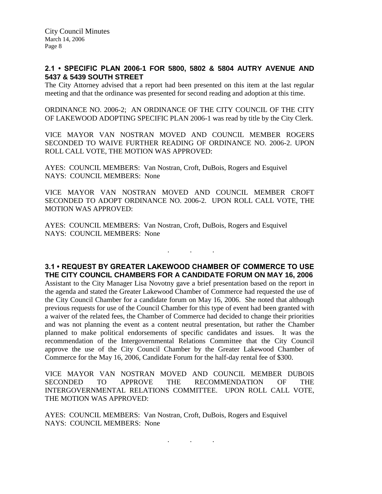#### **2.1 • SPECIFIC PLAN 2006-1 FOR 5800, 5802 & 5804 AUTRY AVENUE AND 5437 & 5439 SOUTH STREET**

The City Attorney advised that a report had been presented on this item at the last regular meeting and that the ordinance was presented for second reading and adoption at this time.

ORDINANCE NO. 2006-2; AN ORDINANCE OF THE CITY COUNCIL OF THE CITY OF LAKEWOOD ADOPTING SPECIFIC PLAN 2006-1 was read by title by the City Clerk.

VICE MAYOR VAN NOSTRAN MOVED AND COUNCIL MEMBER ROGERS SECONDED TO WAIVE FURTHER READING OF ORDINANCE NO. 2006-2. UPON ROLL CALL VOTE, THE MOTION WAS APPROVED:

AYES: COUNCIL MEMBERS: Van Nostran, Croft, DuBois, Rogers and Esquivel NAYS: COUNCIL MEMBERS: None

VICE MAYOR VAN NOSTRAN MOVED AND COUNCIL MEMBER CROFT SECONDED TO ADOPT ORDINANCE NO. 2006-2. UPON ROLL CALL VOTE, THE MOTION WAS APPROVED:

AYES: COUNCIL MEMBERS: Van Nostran, Croft, DuBois, Rogers and Esquivel NAYS: COUNCIL MEMBERS: None

#### **3.1 • REQUEST BY GREATER LAKEWOOD CHAMBER OF COMMERCE TO USE THE CITY COUNCIL CHAMBERS FOR A CANDIDATE FORUM ON MAY 16, 2006**

. . .

Assistant to the City Manager Lisa Novotny gave a brief presentation based on the report in the agenda and stated the Greater Lakewood Chamber of Commerce had requested the use of the City Council Chamber for a candidate forum on May 16, 2006. She noted that although previous requests for use of the Council Chamber for this type of event had been granted with a waiver of the related fees, the Chamber of Commerce had decided to change their priorities and was not planning the event as a content neutral presentation, but rather the Chamber planned to make political endorsements of specific candidates and issues. It was the recommendation of the Intergovernmental Relations Committee that the City Council approve the use of the City Council Chamber by the Greater Lakewood Chamber of Commerce for the May 16, 2006, Candidate Forum for the half-day rental fee of \$300.

VICE MAYOR VAN NOSTRAN MOVED AND COUNCIL MEMBER DUBOIS SECONDED TO APPROVE THE RECOMMENDATION OF THE INTERGOVERNMENTAL RELATIONS COMMITTEE. UPON ROLL CALL VOTE, THE MOTION WAS APPROVED:

AYES: COUNCIL MEMBERS: Van Nostran, Croft, DuBois, Rogers and Esquivel NAYS: COUNCIL MEMBERS: None

. . .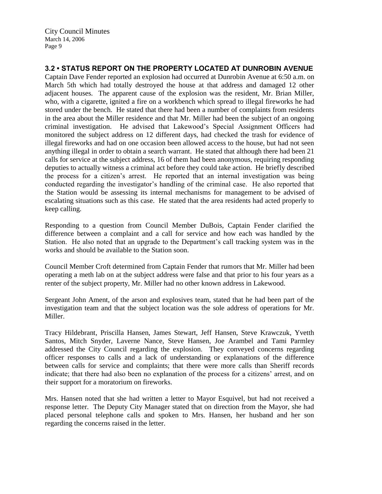# **3.2 • STATUS REPORT ON THE PROPERTY LOCATED AT DUNROBIN AVENUE**

Captain Dave Fender reported an explosion had occurred at Dunrobin Avenue at 6:50 a.m. on March 5th which had totally destroyed the house at that address and damaged 12 other adjacent houses. The apparent cause of the explosion was the resident, Mr. Brian Miller, who, with a cigarette, ignited a fire on a workbench which spread to illegal fireworks he had stored under the bench. He stated that there had been a number of complaints from residents in the area about the Miller residence and that Mr. Miller had been the subject of an ongoing criminal investigation. He advised that Lakewood's Special Assignment Officers had monitored the subject address on 12 different days, had checked the trash for evidence of illegal fireworks and had on one occasion been allowed access to the house, but had not seen anything illegal in order to obtain a search warrant. He stated that although there had been 21 calls for service at the subject address, 16 of them had been anonymous, requiring responding deputies to actually witness a criminal act before they could take action. He briefly described the process for a citizen's arrest. He reported that an internal investigation was being conducted regarding the investigator's handling of the criminal case. He also reported that the Station would be assessing its internal mechanisms for management to be advised of escalating situations such as this case. He stated that the area residents had acted properly to keep calling.

Responding to a question from Council Member DuBois, Captain Fender clarified the difference between a complaint and a call for service and how each was handled by the Station. He also noted that an upgrade to the Department's call tracking system was in the works and should be available to the Station soon.

Council Member Croft determined from Captain Fender that rumors that Mr. Miller had been operating a meth lab on at the subject address were false and that prior to his four years as a renter of the subject property, Mr. Miller had no other known address in Lakewood.

Sergeant John Ament, of the arson and explosives team, stated that he had been part of the investigation team and that the subject location was the sole address of operations for Mr. Miller.

Tracy Hildebrant, Priscilla Hansen, James Stewart, Jeff Hansen, Steve Krawczuk, Yvetth Santos, Mitch Snyder, Laverne Nance, Steve Hansen, Joe Arambel and Tami Parmley addressed the City Council regarding the explosion. They conveyed concerns regarding officer responses to calls and a lack of understanding or explanations of the difference between calls for service and complaints; that there were more calls than Sheriff records indicate; that there had also been no explanation of the process for a citizens' arrest, and on their support for a moratorium on fireworks.

Mrs. Hansen noted that she had written a letter to Mayor Esquivel, but had not received a response letter. The Deputy City Manager stated that on direction from the Mayor, she had placed personal telephone calls and spoken to Mrs. Hansen, her husband and her son regarding the concerns raised in the letter.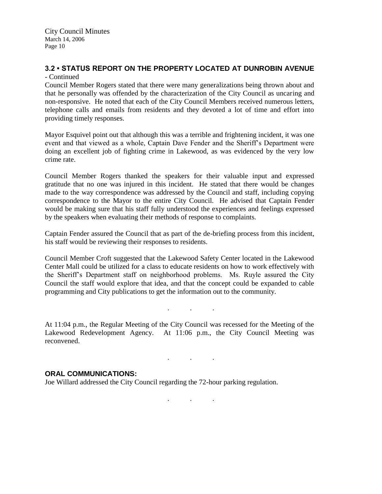# **3.2 • STATUS REPORT ON THE PROPERTY LOCATED AT DUNROBIN AVENUE**

- Continued

Council Member Rogers stated that there were many generalizations being thrown about and that he personally was offended by the characterization of the City Council as uncaring and non-responsive. He noted that each of the City Council Members received numerous letters, telephone calls and emails from residents and they devoted a lot of time and effort into providing timely responses.

Mayor Esquivel point out that although this was a terrible and frightening incident, it was one event and that viewed as a whole, Captain Dave Fender and the Sheriff's Department were doing an excellent job of fighting crime in Lakewood, as was evidenced by the very low crime rate.

Council Member Rogers thanked the speakers for their valuable input and expressed gratitude that no one was injured in this incident. He stated that there would be changes made to the way correspondence was addressed by the Council and staff, including copying correspondence to the Mayor to the entire City Council. He advised that Captain Fender would be making sure that his staff fully understood the experiences and feelings expressed by the speakers when evaluating their methods of response to complaints.

Captain Fender assured the Council that as part of the de-briefing process from this incident, his staff would be reviewing their responses to residents.

Council Member Croft suggested that the Lakewood Safety Center located in the Lakewood Center Mall could be utilized for a class to educate residents on how to work effectively with the Sheriff's Department staff on neighborhood problems. Ms. Ruyle assured the City Council the staff would explore that idea, and that the concept could be expanded to cable programming and City publications to get the information out to the community.

At 11:04 p.m., the Regular Meeting of the City Council was recessed for the Meeting of the Lakewood Redevelopment Agency. At 11:06 p.m., the City Council Meeting was reconvened.

. . .

#### **ORAL COMMUNICATIONS:**

Joe Willard addressed the City Council regarding the 72-hour parking regulation.

. . .

 $\mathbf{r}$  .  $\mathbf{r}$  ,  $\mathbf{r}$  ,  $\mathbf{r}$  ,  $\mathbf{r}$  ,  $\mathbf{r}$  ,  $\mathbf{r}$